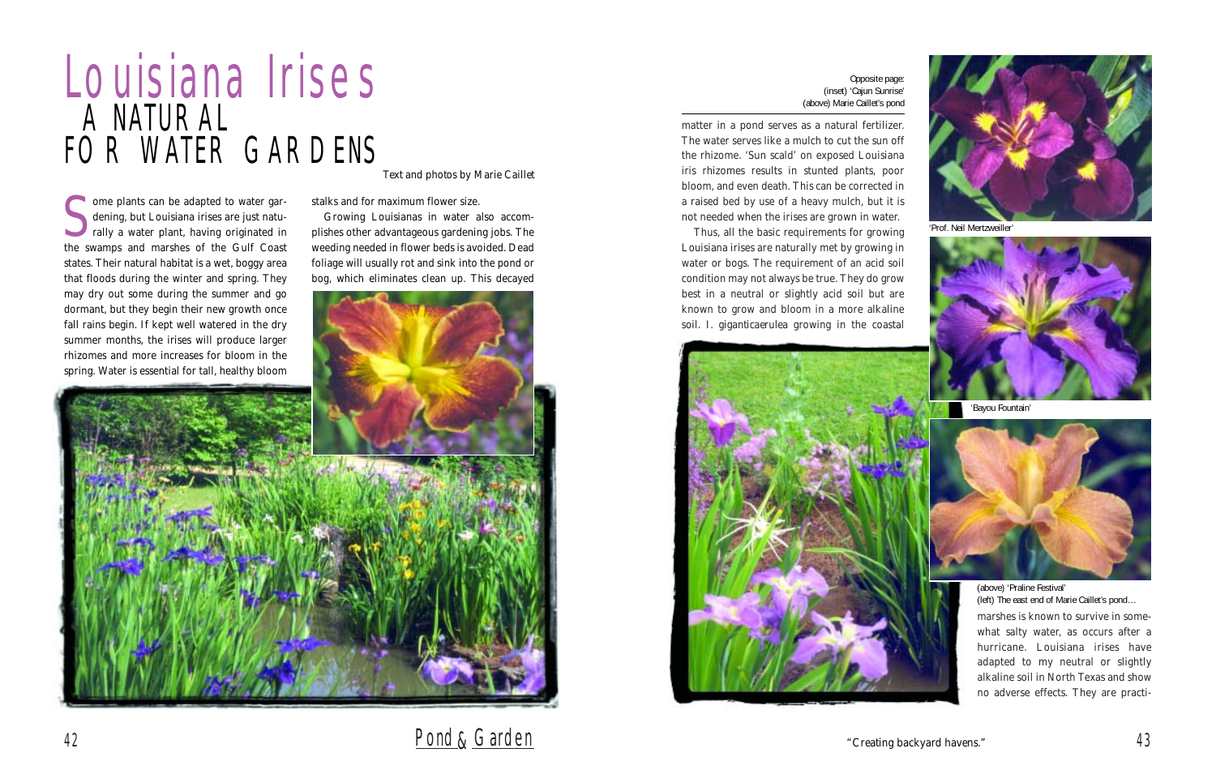matter in a pond serves as a natural fertilizer. The water serves like a mulch to cut the sun off the rhizome. 'Sun scald' on exposed Louisiana iris rhizomes results in stunted plants, poor bloom, and even death. This can be corrected in a raised bed by use of a heavy mulch, but it is not needed when the irises are grown in water.

Thus, all the basic requirements for growing Louisiana irises are naturally met by growing in water or bogs. The requirement of an acid soil condition may not always be true. They do grow best in a neutral or slightly acid soil but are known to grow and bloom in a more alkaline soil. *I. giganticaerulea* growing in the coastal



Some plants can be adapted to water gardening, but Louisiana irises are just naturally a water plant, having originated in dening, but Louisiana irises are just naturally a water plant, having originated in the swamps and marshes of the Gulf Coast states. Their natural habitat is a wet, boggy area that floods during the winter and spring. They may dry out some during the summer and go

> marshes is known to survive in somewhat salty water, as occurs after a hurricane. Louisiana irises have adapted to my neutral or slightly alkaline soil in North Texas and show no adverse effects. They are practi-

## Louisiana Irises A NATURAL FOR WATER GARDENS

### <sup>42</sup> Pond&Garden

stalks and for maximum flower size.

Growing Louisianas in water also accomplishes other advantageous gardening jobs. The weeding needed in flower beds is avoided. Dead foliage will usually rot and sink into the pond or bog, which eliminates clean up. This decayed



*Text and photos by Marie Caillet*

Opposite page: (inset) 'Cajun Sunrise' (above) Marie Caillet's pond

'Prof. Neil Mertzweiller'



'Bayou Fountain'



(above) 'Praline Festival' (left) The east end of Marie Caillet's pond…

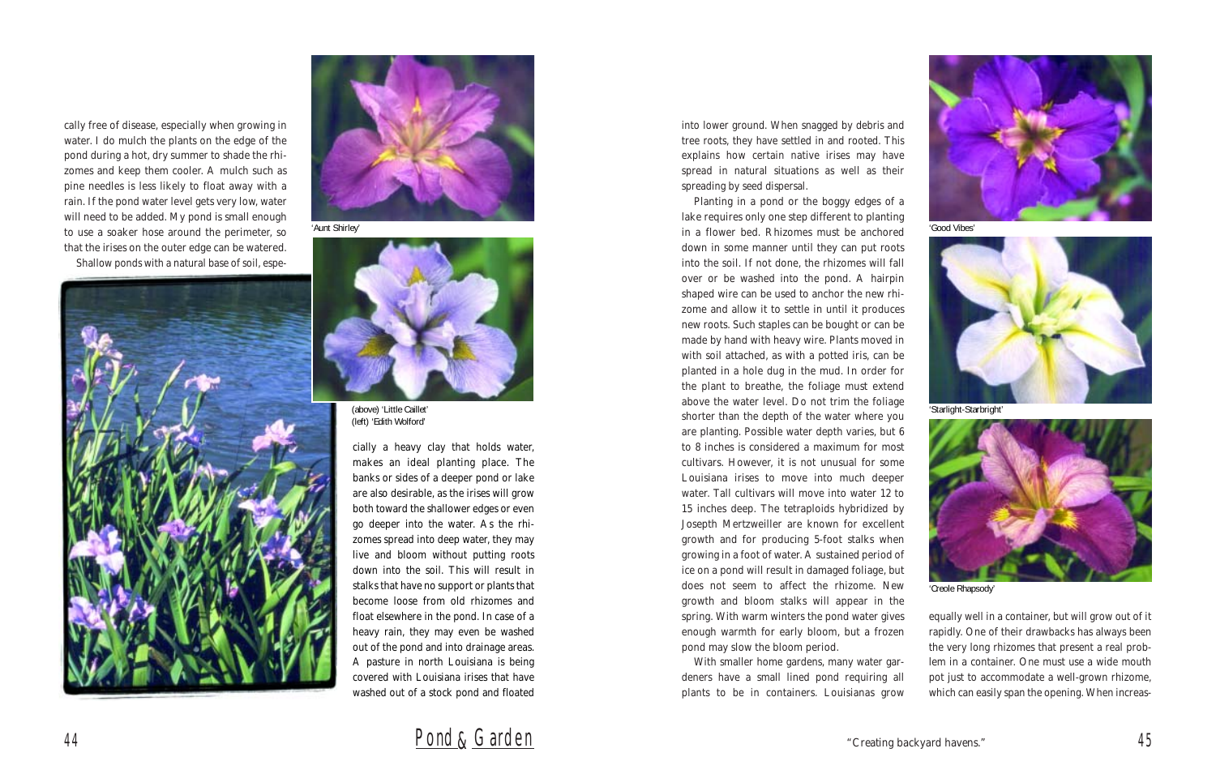into lower ground. When snagged by debris and tree roots, they have settled in and rooted. This explains how certain native irises may have spread in natural situations as well as their spreading by seed dispersal.

Planting in a pond or the boggy edges of a lake requires only one step different to planting in a flower bed. Rhizomes must be anchored down in some manner until they can put roots into the soil. If not done, the rhizomes will fall over or be washed into the pond. A hairpin shaped wire can be used to anchor the new rhizome and allow it to settle in until it produces new roots. Such staples can be bought or can be made by hand with heavy wire. Plants moved in with soil attached, as with a potted iris, can be planted in a hole dug in the mud. In order for the plant to breathe, the foliage must extend above the water level. Do not trim the foliage shorter than the depth of the water where you are planting. Possible water depth varies, but 6 to 8 inches is considered a maximum for most cultivars. However, it is not unusual for some Louisiana irises to move into much deeper water. Tall cultivars will move into water 12 to 15 inches deep. The tetraploids hybridized by Josepth Mertzweiller are known for excellent growth and for producing 5-foot stalks when growing in a foot of water. A sustained period of ice on a pond will result in damaged foliage, but does not seem to affect the rhizome. New growth and bloom stalks will appear in the spring. With warm winters the pond water gives enough warmth for early bloom, but a frozen pond may slow the bloom period.

With smaller home gardens, many water gardeners have a small lined pond requiring all plants to be in containers. Louisianas grow

equally well in a container, but will grow out of it rapidly. One of their drawbacks has always been the very long rhizomes that present a real problem in a container. One must use a wide mouth pot just to accommodate a well-grown rhizome, which can easily span the opening. When increas-



cally free of disease, especially when growing in water. I do mulch the plants on the edge of the pond during a hot, dry summer to shade the rhizomes and keep them cooler. A mulch such as pine needles is less likely to float away with a rain. If the pond water level gets very low, water will need to be added. My pond is small enough to use a soaker hose around the perimeter, so that the irises on the outer edge can be watered.

Shallow ponds with a natural base of soil, espe-





<sup>44</sup> Pond&Garden

cially a heavy clay that holds water, makes an ideal planting place. The banks or sides of a deeper pond or lake are also desirable, as the irises will grow both toward the shallower edges or even go deeper into the water. As the rhizomes spread into deep water, they may live and bloom without putting roots down into the soil. This will result in stalks that have no support or plants that become loose from old rhizomes and float elsewhere in the pond. In case of a heavy rain, they may even be washed out of the pond and into drainage areas. A pasture in north Louisiana is being covered with Louisiana irises that have washed out of a stock pond and floated

'Aunt Shirley'



(above) 'Little Caillet' (left) 'Edith Wolford'

'Good Vibes'



'Starlight-Starbright'



'Creole Rhapsody'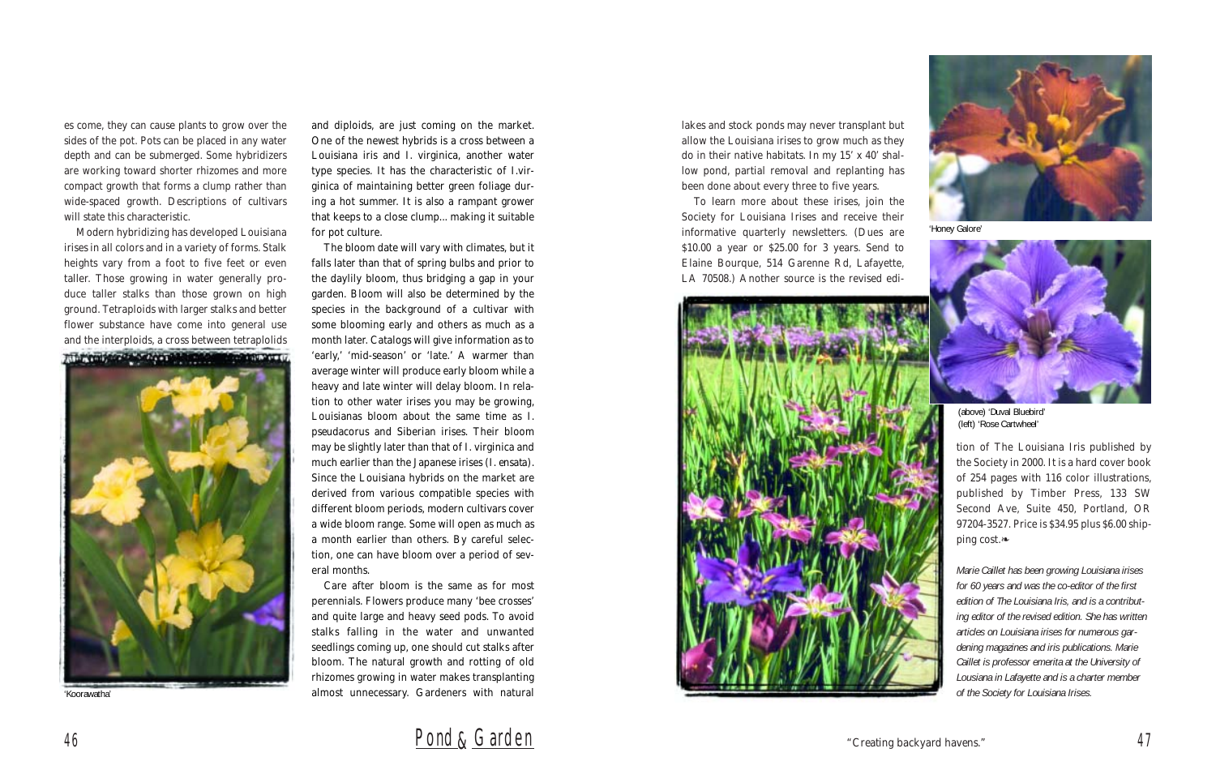lakes and stock ponds may never transplant but allow the Louisiana irises to grow much as they do in their native habitats. In my 15' x 40' shallow pond, partial removal and replanting has been done about every three to five years.

To learn more about these irises, join the Society for Louisiana Irises and receive their informative quarterly newsletters. (Dues are \$10.00 a year or \$25.00 for 3 years. Send to Elaine Bourque, 514 Garenne Rd, Lafayette, LA 70508.) Another source is the revised edi-



tion of The Louisiana Iris published by the Society in 2000. It is a hard cover book of 254 pages with 116 color illustrations, published by Timber Press, 133 SW Second Ave, Suite 450, Portland, OR 97204-3527. Price is \$34.95 plus \$6.00 shipping cost.❧

*Marie Caillet has been growing Louisiana irises for 60 years and was the co-editor of the first edition of The Louisiana Iris, and is a contributing editor of the revised edition. She has written articles on Louisiana irises for numerous gardening magazines and iris publications. Marie Caillet is professor emerita at the University of Lousiana in Lafayette and is a charter member of the Society for Louisiana Irises.*

es come, they can cause plants to grow over the sides of the pot. Pots can be placed in any water depth and can be submerged. Some hybridizers are working toward shorter rhizomes and more compact growth that forms a clump rather than wide-spaced growth. Descriptions of cultivars will state this characteristic.

Modern hybridizing has developed Louisiana irises in all colors and in a variety of forms. Stalk heights vary from a foot to five feet or even taller. Those growing in water generally produce taller stalks than those grown on high ground. Tetraploids with larger stalks and better flower substance have come into general use and the interploids, a cross between tetraplolids



and diploids, are just coming on the market. One of the newest hybrids is a cross between a Louisiana iris and *I. virginica*, another water type species. It has the characteristic of *I.virginica* of maintaining better green foliage during a hot summer. It is also a rampant grower that keeps to a close clump... making it suitable for pot culture.

The bloom date will vary with climates, but it falls later than that of spring bulbs and prior to the daylily bloom, thus bridging a gap in your garden. Bloom will also be determined by the species in the background of a cultivar with some blooming early and others as much as a month later. Catalogs will give information as to 'early,' 'mid-season' or 'late.' A warmer than average winter will produce early bloom while a heavy and late winter will delay bloom. In relation to other water irises you may be growing, Louisianas bloom about the same time as *I. pseudacorus* and Siberian irises. Their bloom may be slightly later than that of *I. virginica* and much earlier than the Japanese irises (*I. ensata*). Since the Louisiana hybrids on the market are derived from various compatible species with different bloom periods, modern cultivars cover a wide bloom range. Some will open as much as a month earlier than others. By careful selection, one can have bloom over a period of several months.

Care after bloom is the same as for most perennials. Flowers produce many 'bee crosses' and quite large and heavy seed pods. To avoid stalks falling in the water and unwanted seedlings coming up, one should cut stalks after bloom. The natural growth and rotting of old rhizomes growing in water makes transplanting 'Koorawatha' almost unnecessary. Gardeners with natural



'Honey Galore'



(above) 'Duval Bluebird' (left) 'Rose Cartwheel'